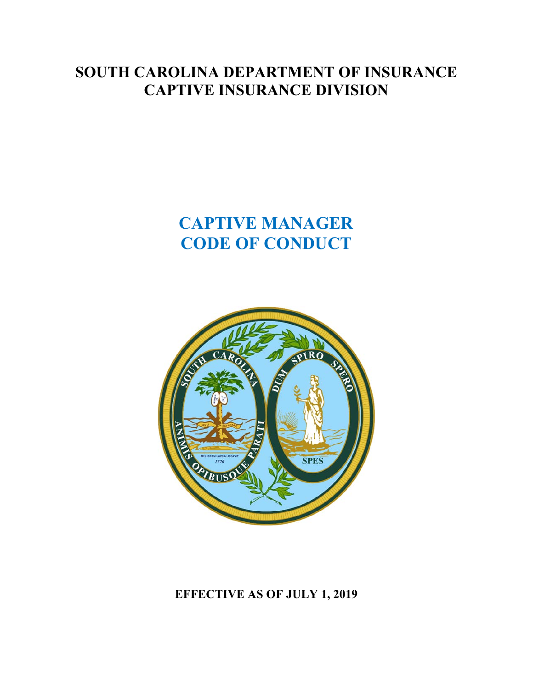## **SOUTH CAROLINA DEPARTMENT OF INSURANCE CAPTIVE INSURANCE DIVISION**

# **CAPTIVE MANAGER CODE OF CONDUCT**



**EFFECTIVE AS OF JULY 1, 2019**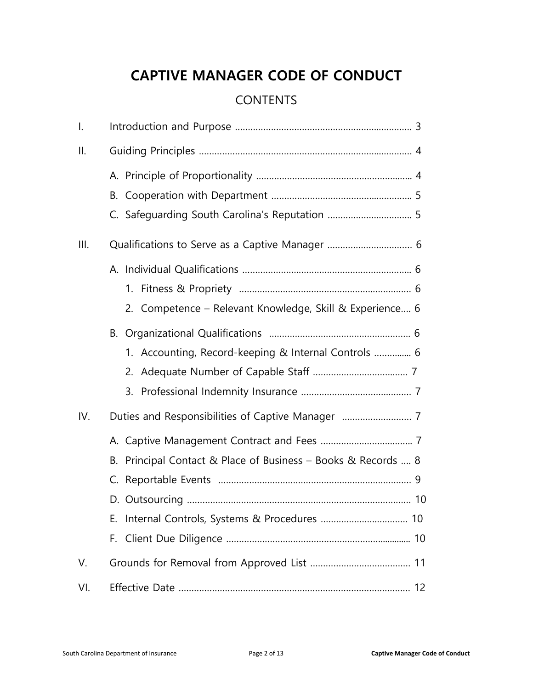## **CAPTIVE MANAGER CODE OF CONDUCT**

### **CONTENTS**

| $\mathsf{l}$ . |                                                                                                                  |
|----------------|------------------------------------------------------------------------------------------------------------------|
| ΙΙ.            |                                                                                                                  |
|                |                                                                                                                  |
|                | В.                                                                                                               |
| III.           |                                                                                                                  |
|                |                                                                                                                  |
|                | 2. Competence - Relevant Knowledge, Skill & Experience 6<br>1. Accounting, Record-keeping & Internal Controls  6 |
| IV.            |                                                                                                                  |
|                | Principal Contact & Place of Business - Books & Records  8<br>В.<br>Е.<br>F.                                     |
| V.             |                                                                                                                  |
| VI.            |                                                                                                                  |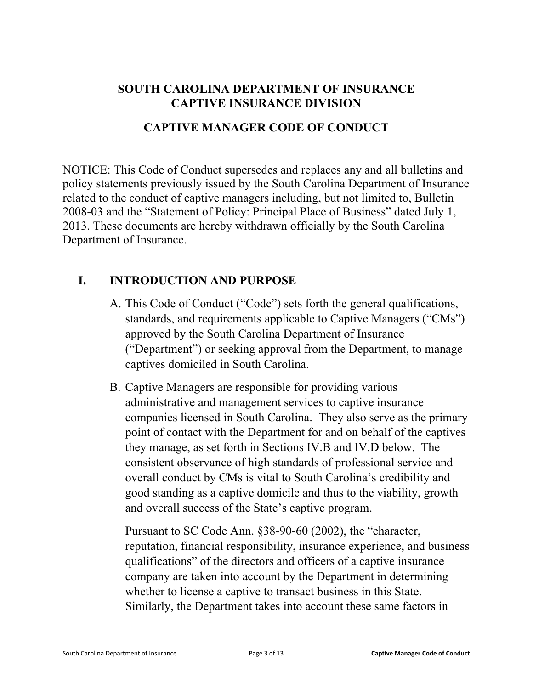#### **SOUTH CAROLINA DEPARTMENT OF INSURANCE CAPTIVE INSURANCE DIVISION**

#### **CAPTIVE MANAGER CODE OF CONDUCT**

NOTICE: This Code of Conduct supersedes and replaces any and all bulletins and policy statements previously issued by the South Carolina Department of Insurance related to the conduct of captive managers including, but not limited to, Bulletin 2008-03 and the "Statement of Policy: Principal Place of Business" dated July 1, 2013. These documents are hereby withdrawn officially by the South Carolina Department of Insurance.

#### **I. INTRODUCTION AND PURPOSE**

- A. This Code of Conduct ("Code") sets forth the general qualifications, standards, and requirements applicable to Captive Managers ("CMs") approved by the South Carolina Department of Insurance ("Department") or seeking approval from the Department, to manage captives domiciled in South Carolina.
- B. Captive Managers are responsible for providing various administrative and management services to captive insurance companies licensed in South Carolina. They also serve as the primary point of contact with the Department for and on behalf of the captives they manage, as set forth in Sections IV.B and IV.D below. The consistent observance of high standards of professional service and overall conduct by CMs is vital to South Carolina's credibility and good standing as a captive domicile and thus to the viability, growth and overall success of the State's captive program.

Pursuant to SC Code Ann. §38-90-60 (2002), the "character, reputation, financial responsibility, insurance experience, and business qualifications" of the directors and officers of a captive insurance company are taken into account by the Department in determining whether to license a captive to transact business in this State. Similarly, the Department takes into account these same factors in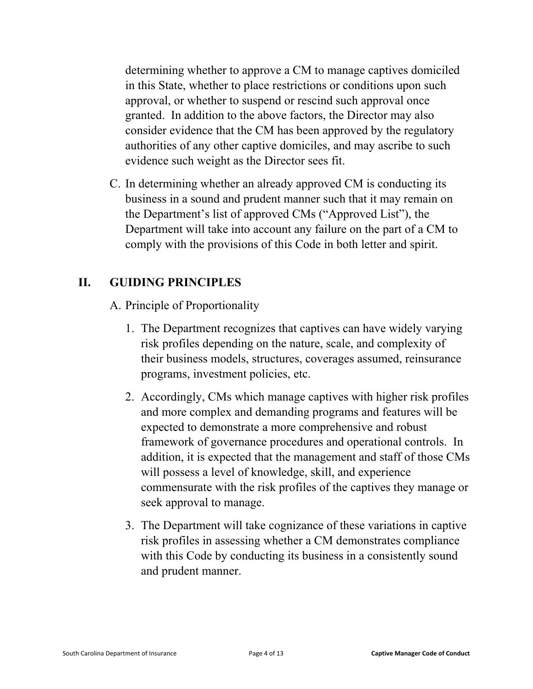determining whether to approve a CM to manage captives domiciled in this State, whether to place restrictions or conditions upon such approval, or whether to suspend or rescind such approval once granted. In addition to the above factors, the Director may also consider evidence that the CM has been approved by the regulatory authorities of any other captive domiciles, and may ascribe to such evidence such weight as the Director sees fit.

C. In determining whether an already approved CM is conducting its business in a sound and prudent manner such that it may remain on the Department's list of approved CMs ("Approved List"), the Department will take into account any failure on the part of a CM to comply with the provisions of this Code in both letter and spirit.

#### **II. GUIDING PRINCIPLES**

A. Principle of Proportionality

- 1. The Department recognizes that captives can have widely varying risk profiles depending on the nature, scale, and complexity of their business models, structures, coverages assumed, reinsurance programs, investment policies, etc.
- 2. Accordingly, CMs which manage captives with higher risk profiles and more complex and demanding programs and features will be expected to demonstrate a more comprehensive and robust framework of governance procedures and operational controls. In addition, it is expected that the management and staff of those CMs will possess a level of knowledge, skill, and experience commensurate with the risk profiles of the captives they manage or seek approval to manage.
- 3. The Department will take cognizance of these variations in captive risk profiles in assessing whether a CM demonstrates compliance with this Code by conducting its business in a consistently sound and prudent manner.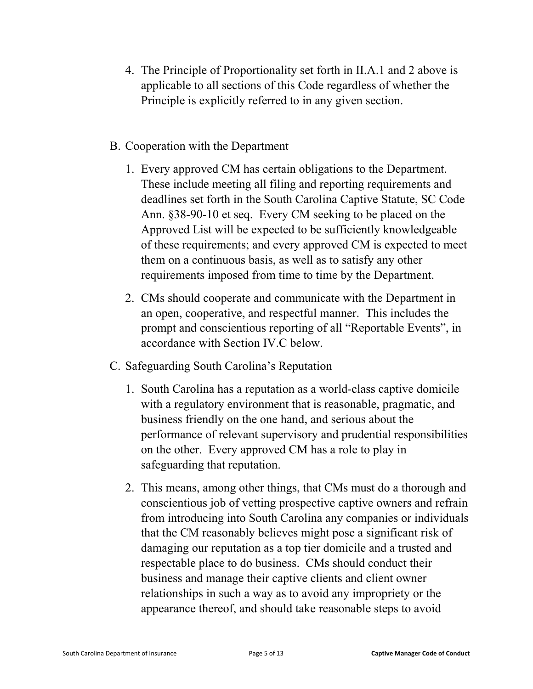- 4. The Principle of Proportionality set forth in II.A.1 and 2 above is applicable to all sections of this Code regardless of whether the Principle is explicitly referred to in any given section.
- B. Cooperation with the Department
	- 1. Every approved CM has certain obligations to the Department. These include meeting all filing and reporting requirements and deadlines set forth in the South Carolina Captive Statute, SC Code Ann. §38-90-10 et seq. Every CM seeking to be placed on the Approved List will be expected to be sufficiently knowledgeable of these requirements; and every approved CM is expected to meet them on a continuous basis, as well as to satisfy any other requirements imposed from time to time by the Department.
	- 2. CMs should cooperate and communicate with the Department in an open, cooperative, and respectful manner. This includes the prompt and conscientious reporting of all "Reportable Events", in accordance with Section IV.C below.
- C. Safeguarding South Carolina's Reputation
	- 1. South Carolina has a reputation as a world-class captive domicile with a regulatory environment that is reasonable, pragmatic, and business friendly on the one hand, and serious about the performance of relevant supervisory and prudential responsibilities on the other. Every approved CM has a role to play in safeguarding that reputation.
	- 2. This means, among other things, that CMs must do a thorough and conscientious job of vetting prospective captive owners and refrain from introducing into South Carolina any companies or individuals that the CM reasonably believes might pose a significant risk of damaging our reputation as a top tier domicile and a trusted and respectable place to do business. CMs should conduct their business and manage their captive clients and client owner relationships in such a way as to avoid any impropriety or the appearance thereof, and should take reasonable steps to avoid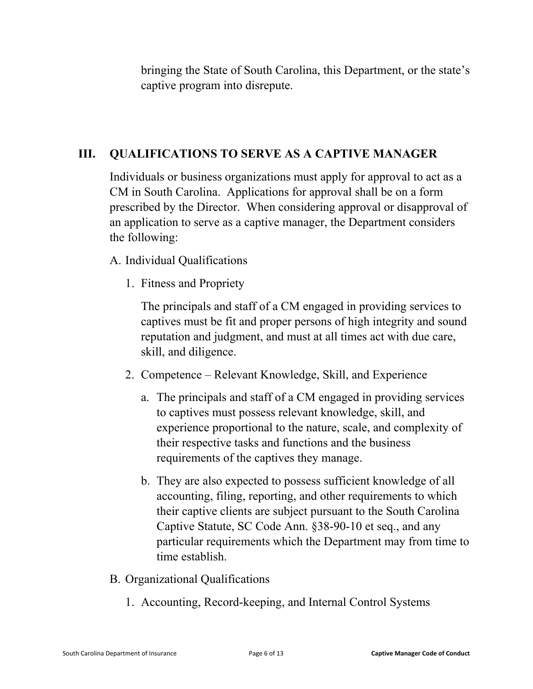bringing the State of South Carolina, this Department, or the state's captive program into disrepute.

#### **III. QUALIFICATIONS TO SERVE AS A CAPTIVE MANAGER**

Individuals or business organizations must apply for approval to act as a CM in South Carolina. Applications for approval shall be on a form prescribed by the Director. When considering approval or disapproval of an application to serve as a captive manager, the Department considers the following:

#### A. Individual Qualifications

1. Fitness and Propriety

The principals and staff of a CM engaged in providing services to captives must be fit and proper persons of high integrity and sound reputation and judgment, and must at all times act with due care, skill, and diligence.

- 2. Competence Relevant Knowledge, Skill, and Experience
	- a. The principals and staff of a CM engaged in providing services to captives must possess relevant knowledge, skill, and experience proportional to the nature, scale, and complexity of their respective tasks and functions and the business requirements of the captives they manage.
	- b. They are also expected to possess sufficient knowledge of all accounting, filing, reporting, and other requirements to which their captive clients are subject pursuant to the South Carolina Captive Statute, SC Code Ann. §38-90-10 et seq., and any particular requirements which the Department may from time to time establish.
- B. Organizational Qualifications
	- 1. Accounting, Record-keeping, and Internal Control Systems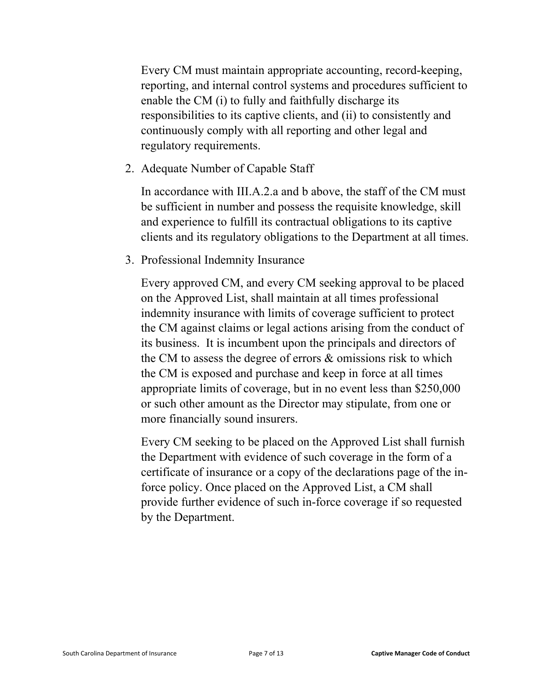Every CM must maintain appropriate accounting, record-keeping, reporting, and internal control systems and procedures sufficient to enable the CM (i) to fully and faithfully discharge its responsibilities to its captive clients, and (ii) to consistently and continuously comply with all reporting and other legal and regulatory requirements.

2. Adequate Number of Capable Staff

In accordance with III.A.2.a and b above, the staff of the CM must be sufficient in number and possess the requisite knowledge, skill and experience to fulfill its contractual obligations to its captive clients and its regulatory obligations to the Department at all times.

3. Professional Indemnity Insurance

Every approved CM, and every CM seeking approval to be placed on the Approved List, shall maintain at all times professional indemnity insurance with limits of coverage sufficient to protect the CM against claims or legal actions arising from the conduct of its business. It is incumbent upon the principals and directors of the CM to assess the degree of errors & omissions risk to which the CM is exposed and purchase and keep in force at all times appropriate limits of coverage, but in no event less than \$250,000 or such other amount as the Director may stipulate, from one or more financially sound insurers.

Every CM seeking to be placed on the Approved List shall furnish the Department with evidence of such coverage in the form of a certificate of insurance or a copy of the declarations page of the inforce policy. Once placed on the Approved List, a CM shall provide further evidence of such in-force coverage if so requested by the Department.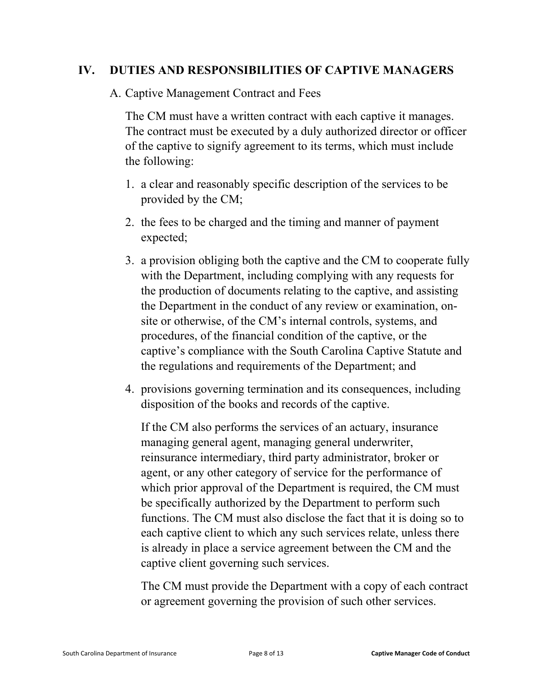#### **IV. DUTIES AND RESPONSIBILITIES OF CAPTIVE MANAGERS**

A. Captive Management Contract and Fees

The CM must have a written contract with each captive it manages. The contract must be executed by a duly authorized director or officer of the captive to signify agreement to its terms, which must include the following:

- 1. a clear and reasonably specific description of the services to be provided by the CM;
- 2. the fees to be charged and the timing and manner of payment expected;
- 3. a provision obliging both the captive and the CM to cooperate fully with the Department, including complying with any requests for the production of documents relating to the captive, and assisting the Department in the conduct of any review or examination, onsite or otherwise, of the CM's internal controls, systems, and procedures, of the financial condition of the captive, or the captive's compliance with the South Carolina Captive Statute and the regulations and requirements of the Department; and
- 4. provisions governing termination and its consequences, including disposition of the books and records of the captive.

If the CM also performs the services of an actuary, insurance managing general agent, managing general underwriter, reinsurance intermediary, third party administrator, broker or agent, or any other category of service for the performance of which prior approval of the Department is required, the CM must be specifically authorized by the Department to perform such functions. The CM must also disclose the fact that it is doing so to each captive client to which any such services relate, unless there is already in place a service agreement between the CM and the captive client governing such services.

The CM must provide the Department with a copy of each contract or agreement governing the provision of such other services.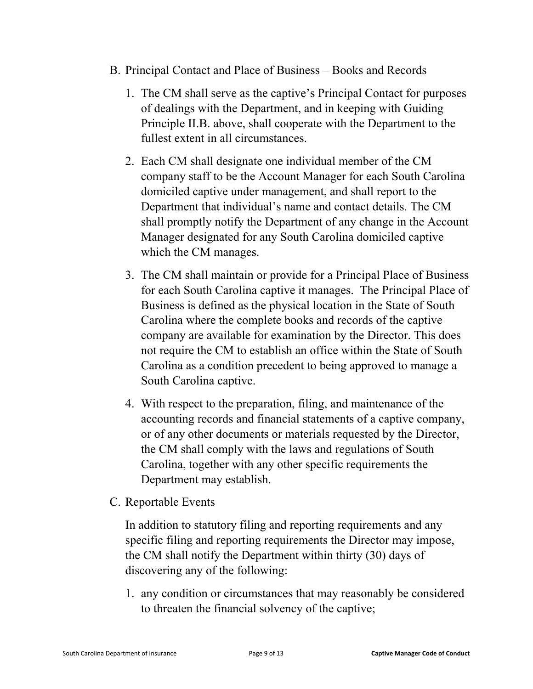- B. Principal Contact and Place of Business Books and Records
	- 1. The CM shall serve as the captive's Principal Contact for purposes of dealings with the Department, and in keeping with Guiding Principle II.B. above, shall cooperate with the Department to the fullest extent in all circumstances.
	- 2. Each CM shall designate one individual member of the CM company staff to be the Account Manager for each South Carolina domiciled captive under management, and shall report to the Department that individual's name and contact details. The CM shall promptly notify the Department of any change in the Account Manager designated for any South Carolina domiciled captive which the CM manages.
	- 3. The CM shall maintain or provide for a Principal Place of Business for each South Carolina captive it manages. The Principal Place of Business is defined as the physical location in the State of South Carolina where the complete books and records of the captive company are available for examination by the Director. This does not require the CM to establish an office within the State of South Carolina as a condition precedent to being approved to manage a South Carolina captive.
	- 4. With respect to the preparation, filing, and maintenance of the accounting records and financial statements of a captive company, or of any other documents or materials requested by the Director, the CM shall comply with the laws and regulations of South Carolina, together with any other specific requirements the Department may establish.
- C. Reportable Events

In addition to statutory filing and reporting requirements and any specific filing and reporting requirements the Director may impose, the CM shall notify the Department within thirty (30) days of discovering any of the following:

1. any condition or circumstances that may reasonably be considered to threaten the financial solvency of the captive;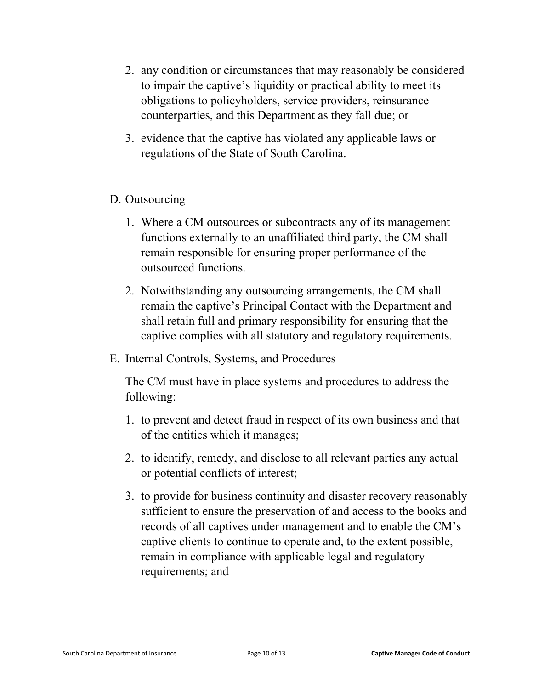- 2. any condition or circumstances that may reasonably be considered to impair the captive's liquidity or practical ability to meet its obligations to policyholders, service providers, reinsurance counterparties, and this Department as they fall due; or
- 3. evidence that the captive has violated any applicable laws or regulations of the State of South Carolina.

#### D. Outsourcing

- 1. Where a CM outsources or subcontracts any of its management functions externally to an unaffiliated third party, the CM shall remain responsible for ensuring proper performance of the outsourced functions.
- 2. Notwithstanding any outsourcing arrangements, the CM shall remain the captive's Principal Contact with the Department and shall retain full and primary responsibility for ensuring that the captive complies with all statutory and regulatory requirements.
- E. Internal Controls, Systems, and Procedures

The CM must have in place systems and procedures to address the following:

- 1. to prevent and detect fraud in respect of its own business and that of the entities which it manages;
- 2. to identify, remedy, and disclose to all relevant parties any actual or potential conflicts of interest;
- 3. to provide for business continuity and disaster recovery reasonably sufficient to ensure the preservation of and access to the books and records of all captives under management and to enable the CM's captive clients to continue to operate and, to the extent possible, remain in compliance with applicable legal and regulatory requirements; and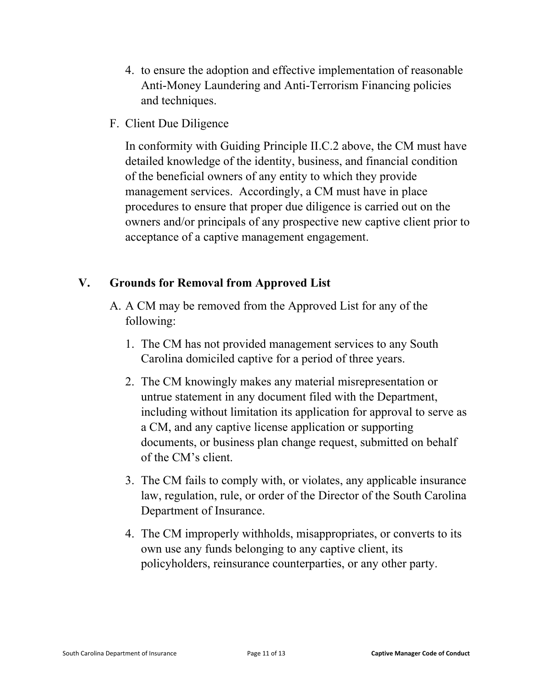- 4. to ensure the adoption and effective implementation of reasonable Anti-Money Laundering and Anti-Terrorism Financing policies and techniques.
- F. Client Due Diligence

In conformity with Guiding Principle II.C.2 above, the CM must have detailed knowledge of the identity, business, and financial condition of the beneficial owners of any entity to which they provide management services. Accordingly, a CM must have in place procedures to ensure that proper due diligence is carried out on the owners and/or principals of any prospective new captive client prior to acceptance of a captive management engagement.

#### **V. Grounds for Removal from Approved List**

- A. A CM may be removed from the Approved List for any of the following:
	- 1. The CM has not provided management services to any South Carolina domiciled captive for a period of three years.
	- 2. The CM knowingly makes any material misrepresentation or untrue statement in any document filed with the Department, including without limitation its application for approval to serve as a CM, and any captive license application or supporting documents, or business plan change request, submitted on behalf of the CM's client.
	- 3. The CM fails to comply with, or violates, any applicable insurance law, regulation, rule, or order of the Director of the South Carolina Department of Insurance.
	- 4. The CM improperly withholds, misappropriates, or converts to its own use any funds belonging to any captive client, its policyholders, reinsurance counterparties, or any other party.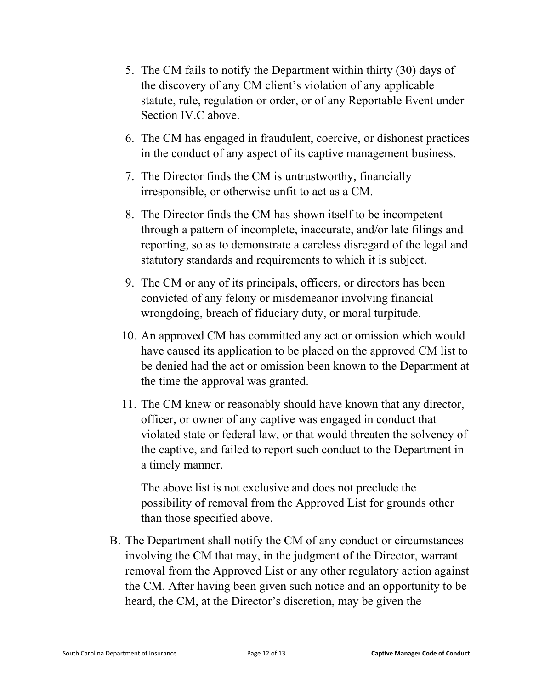- 5. The CM fails to notify the Department within thirty (30) days of the discovery of any CM client's violation of any applicable statute, rule, regulation or order, or of any Reportable Event under Section IV.C above.
- 6. The CM has engaged in fraudulent, coercive, or dishonest practices in the conduct of any aspect of its captive management business.
- 7. The Director finds the CM is untrustworthy, financially irresponsible, or otherwise unfit to act as a CM.
- 8. The Director finds the CM has shown itself to be incompetent through a pattern of incomplete, inaccurate, and/or late filings and reporting, so as to demonstrate a careless disregard of the legal and statutory standards and requirements to which it is subject.
- 9. The CM or any of its principals, officers, or directors has been convicted of any felony or misdemeanor involving financial wrongdoing, breach of fiduciary duty, or moral turpitude.
- 10. An approved CM has committed any act or omission which would have caused its application to be placed on the approved CM list to be denied had the act or omission been known to the Department at the time the approval was granted.
- 11. The CM knew or reasonably should have known that any director, officer, or owner of any captive was engaged in conduct that violated state or federal law, or that would threaten the solvency of the captive, and failed to report such conduct to the Department in a timely manner.

The above list is not exclusive and does not preclude the possibility of removal from the Approved List for grounds other than those specified above.

B. The Department shall notify the CM of any conduct or circumstances involving the CM that may, in the judgment of the Director, warrant removal from the Approved List or any other regulatory action against the CM. After having been given such notice and an opportunity to be heard, the CM, at the Director's discretion, may be given the